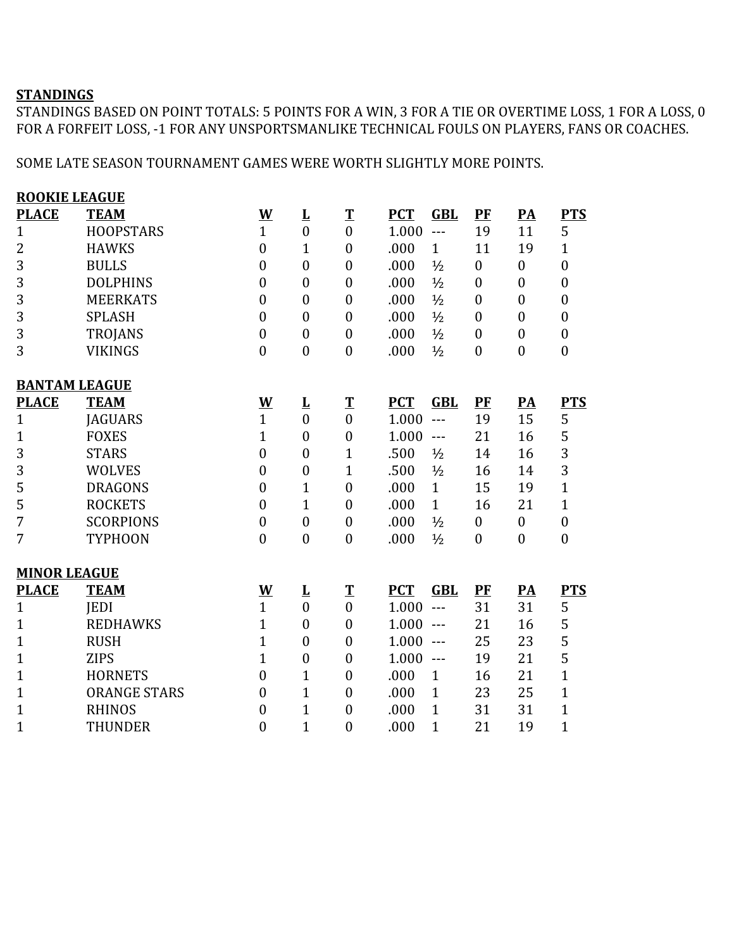## **STANDINGS**

STANDINGS BASED ON POINT TOTALS: 5 POINTS FOR A WIN, 3 FOR A TIE OR OVERTIME LOSS, 1 FOR A LOSS, 0 FOR A FORFEIT LOSS, -1 FOR ANY UNSPORTSMANLIKE TECHNICAL FOULS ON PLAYERS, FANS OR COACHES.

SOME LATE SEASON TOURNAMENT GAMES WERE WORTH SLIGHTLY MORE POINTS.

| <b>ROOKIE LEAGUE</b> |                     |                          |                         |                  |            |                |                  |                        |                  |  |
|----------------------|---------------------|--------------------------|-------------------------|------------------|------------|----------------|------------------|------------------------|------------------|--|
| <b>PLACE</b>         | <b>TEAM</b>         | $\underline{\mathbf{W}}$ | $\mathbf{L}$            | $\mathbf T$      | <b>PCT</b> | <b>GBL</b>     | PF               | $\overline{PA}$        | <b>PTS</b>       |  |
| $\mathbf{1}$         | <b>HOOPSTARS</b>    | $\mathbf{1}$             | $\boldsymbol{0}$        | $\boldsymbol{0}$ | 1.000      | $- - -$        | 19               | 11                     | 5                |  |
| $\overline{2}$       | <b>HAWKS</b>        | $\boldsymbol{0}$         | $\mathbf{1}$            | $\boldsymbol{0}$ | .000       | $\mathbf{1}$   | 11               | 19                     | $\mathbf{1}$     |  |
| 3                    | <b>BULLS</b>        | $\boldsymbol{0}$         | $\boldsymbol{0}$        | $\boldsymbol{0}$ | .000       | $\frac{1}{2}$  | $\boldsymbol{0}$ | $\boldsymbol{0}$       | $\boldsymbol{0}$ |  |
| 3                    | <b>DOLPHINS</b>     | $\boldsymbol{0}$         | $\boldsymbol{0}$        | $\boldsymbol{0}$ | .000       | $\frac{1}{2}$  | $\boldsymbol{0}$ | $\boldsymbol{0}$       | $\boldsymbol{0}$ |  |
| 3                    | <b>MEERKATS</b>     | $\boldsymbol{0}$         | $\boldsymbol{0}$        | $\boldsymbol{0}$ | .000       | $\frac{1}{2}$  | $\boldsymbol{0}$ | $\boldsymbol{0}$       | $\boldsymbol{0}$ |  |
| 3                    | <b>SPLASH</b>       | $\overline{0}$           | $\boldsymbol{0}$        | $\overline{0}$   | .000       | $\frac{1}{2}$  | $\overline{0}$   | $\overline{0}$         | $\overline{0}$   |  |
| 3                    | <b>TROJANS</b>      | $\boldsymbol{0}$         | $\boldsymbol{0}$        | $\boldsymbol{0}$ | .000       | $\frac{1}{2}$  | $\boldsymbol{0}$ | $\boldsymbol{0}$       | $\boldsymbol{0}$ |  |
| 3                    | <b>VIKINGS</b>      | $\boldsymbol{0}$         | $\boldsymbol{0}$        | $\boldsymbol{0}$ | .000       | $\frac{1}{2}$  | $\boldsymbol{0}$ | $\boldsymbol{0}$       | $\boldsymbol{0}$ |  |
| <b>BANTAM LEAGUE</b> |                     |                          |                         |                  |            |                |                  |                        |                  |  |
| <b>PLACE</b>         | <b>TEAM</b>         | $\underline{\mathbf{W}}$ | $\overline{\mathbf{r}}$ | $\mathbf T$      | <b>PCT</b> | <b>GBL</b>     | $P$ $F$          | $\mathbf{P}\mathbf{A}$ | <b>PTS</b>       |  |
| $\mathbf{1}$         | <b>JAGUARS</b>      | $\mathbf{1}$             | $\overline{0}$          | $\overline{0}$   | 1.000      | $- - -$        | 19               | 15                     | 5                |  |
| 1                    | <b>FOXES</b>        | $\mathbf{1}$             | $\boldsymbol{0}$        | $\boldsymbol{0}$ | 1.000      | $---$          | 21               | 16                     | 5                |  |
| 3                    | <b>STARS</b>        | $\overline{0}$           | $\overline{0}$          | $\overline{1}$   | .500       | $\frac{1}{2}$  | 14               | 16                     | 3                |  |
| 3                    | <b>WOLVES</b>       | $\boldsymbol{0}$         | $\boldsymbol{0}$        | $\mathbf{1}$     | .500       | $\frac{1}{2}$  | 16               | 14                     | $\overline{3}$   |  |
| 5                    | <b>DRAGONS</b>      | $\boldsymbol{0}$         | $\overline{1}$          | $\mathbf{0}$     | .000       | $\mathbf{1}$   | 15               | 19                     | $\mathbf{1}$     |  |
| 5                    | <b>ROCKETS</b>      | $\theta$                 | $\mathbf{1}$            | $\overline{0}$   | .000       | $\mathbf{1}$   | 16               | 21                     | $\mathbf{1}$     |  |
| 7                    | <b>SCORPIONS</b>    | $\boldsymbol{0}$         | $\boldsymbol{0}$        | $\boldsymbol{0}$ | .000       | $\frac{1}{2}$  | $\boldsymbol{0}$ | $\boldsymbol{0}$       | $\boldsymbol{0}$ |  |
| 7                    | <b>TYPHOON</b>      | $\mathbf{0}$             | $\boldsymbol{0}$        | $\mathbf{0}$     | .000       | $\frac{1}{2}$  | $\boldsymbol{0}$ | $\boldsymbol{0}$       | $\mathbf{0}$     |  |
| <b>MINOR LEAGUE</b>  |                     |                          |                         |                  |            |                |                  |                        |                  |  |
| <b>PLACE</b>         | <b>TEAM</b>         | $\underline{\mathbf{W}}$ | $\overline{\mathbf{r}}$ | $\mathbf T$      | <b>PCT</b> | <b>GBL</b>     | $P$ F            | $\overline{PA}$        | <b>PTS</b>       |  |
| $\mathbf{1}$         | <b>JEDI</b>         | $\mathbf{1}$             | $\boldsymbol{0}$        | $\boldsymbol{0}$ | 1.000      | $---$          | 31               | 31                     | 5                |  |
| $\overline{1}$       | <b>REDHAWKS</b>     | $\overline{1}$           | $\boldsymbol{0}$        | $\boldsymbol{0}$ | 1.000      | $-$            | 21               | 16                     | 5                |  |
| 1                    | <b>RUSH</b>         | $\mathbf{1}$             | $\boldsymbol{0}$        | $\mathbf{0}$     | 1.000      | $-$            | 25               | 23                     | 5                |  |
| 1                    | <b>ZIPS</b>         | $\mathbf{1}$             | $\boldsymbol{0}$        | $\overline{0}$   | 1.000      | $---$          | 19               | 21                     | 5                |  |
| 1                    | <b>HORNETS</b>      | $\boldsymbol{0}$         | $\mathbf{1}$            | $\boldsymbol{0}$ | .000       | $\mathbf{1}$   | 16               | 21                     | $\mathbf{1}$     |  |
| 1                    | <b>ORANGE STARS</b> | $\boldsymbol{0}$         | $\overline{1}$          | $\mathbf{0}$     | .000       | $\mathbf{1}$   | 23               | 25                     | $\mathbf{1}$     |  |
| 1                    | <b>RHINOS</b>       | $\boldsymbol{0}$         | $\mathbf{1}$            | $\boldsymbol{0}$ | .000       | $\mathbf{1}$   | 31               | 31                     | $\mathbf{1}$     |  |
| $\overline{1}$       | <b>THUNDER</b>      | $\overline{0}$           | $\overline{1}$          | $\overline{0}$   | .000       | $\overline{1}$ | 21               | 19                     | $\overline{1}$   |  |